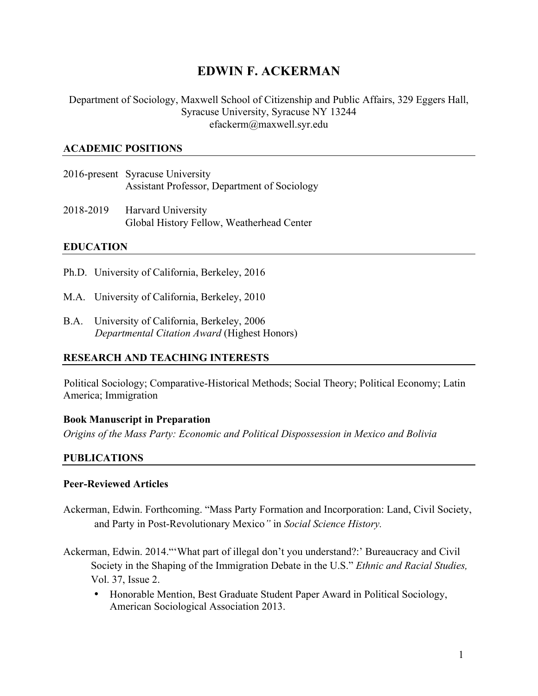# **EDWIN F. ACKERMAN**

Department of Sociology, Maxwell School of Citizenship and Public Affairs, 329 Eggers Hall, Syracuse University, Syracuse NY 13244 [efackerm@maxwell.syr.edu](mailto:efackerm@maxwell.syr.edu)

#### **ACADEMIC POSITIONS**

- 2016-present Syracuse University Assistant Professor, Department of Sociology
- 2018-2019 Harvard University Global History Fellow, Weatherhead Center

## **EDUCATION**

- Ph.D. University of California, Berkeley, 2016
- M.A. University of California, Berkeley, 2010
- B.A. University of California, Berkeley, 2006 *Departmental Citation Award* (Highest Honors)

## **RESEARCH AND TEACHING INTERESTS**

Political Sociology; Comparative-Historical Methods; Social Theory; Political Economy; Latin America; Immigration

#### **Book Manuscript in Preparation**

*Origins of the Mass Party: Economic and Political Dispossession in Mexico and Bolivia* 

## **PUBLICATIONS**

#### **Peer-Reviewed Articles**

- and Party in Post-Revolutionary Mexico*"* in *Social Science History.* Ackerman, Edwin. Forthcoming. "Mass Party Formation and Incorporation: Land, Civil Society,
- Vol. 37, Issue 2. Ackerman, Edwin. 2014."'What part of illegal don't you understand?:' Bureaucracy and Civil Society in the Shaping of the Immigration Debate in the U.S." *Ethnic and Racial Studies,* 
	- Honorable Mention, Best Graduate Student Paper Award in Political Sociology, American Sociological Association 2013.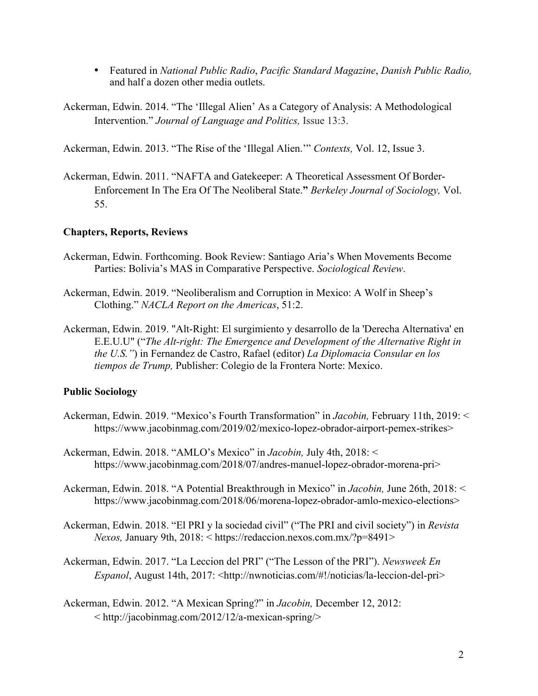- Featured in *National Public Radio*, *Pacific Standard Magazine*, *Danish Public Radio,*  and half a dozen other media outlets.
- Ackerman, Edwin. 2014. "The 'Illegal Alien' As a Category of Analysis: A Methodological Intervention." *Journal of Language and Politics,* Issue 13:3.

Ackerman, Edwin. 2013. "The Rise of the 'Illegal Alien.'" *Contexts,* Vol. 12, Issue 3.

Ackerman, Edwin. 2011. "NAFTA and Gatekeeper: A Theoretical Assessment Of Border-Enforcement In The Era Of The Neoliberal State.**"** *Berkeley Journal of Sociology,* Vol. 55.

## **Chapters, Reports, Reviews**

- Ackerman, Edwin. Forthcoming. Book Review: Santiago Aria's When Movements Become Parties: Bolivia's MAS in Comparative Perspective. *Sociological Review*.
- Ackerman, Edwin. 2019. "Neoliberalism and Corruption in Mexico: A Wolf in Sheep's Clothing." *NACLA Report on the Americas*, 51:2.
- Ackerman, Edwin. 2019. "Alt-Right: El surgimiento y desarrollo de la 'Derecha Alternativa' en E.E.U.U" ("*The Alt-right: The Emergence and Development of the Alternative Right in the U.S."*) in Fernandez de Castro, Rafael (editor) *La Diplomacia Consular en los tiempos de Trump,* Publisher: Colegio de la Frontera Norte: Mexico.

## **Public Sociology**

- Ackerman, Edwin. 2019. "Mexico's Fourth Transformation" in *Jacobin,* February 11th, 2019: < <https://www.jacobinmag.com/2019/02/mexico-lopez-obrador-airport-pemex-strikes>>
- Ackerman, Edwin. 2018. "AMLO's Mexico" in *Jacobin,* July 4th, 2018: < [https://www.jacobinmag.com/2018/07/andres-manuel-lopez-obrador-morena-pri>](https://www.jacobinmag.com/2018/07/andres-manuel-lopez-obrador-morena-pri)
- Ackerman, Edwin. 2018. "A Potential Breakthrough in Mexico" in *Jacobin,* June 26th, 2018: < [https://www.jacobinmag.com/2018/06/morena-lopez-obrador-amlo-mexico-elections>](https://www.jacobinmag.com/2018/06/morena-lopez-obrador-amlo-mexico-elections)
- Ackerman, Edwin. 2018. "El PRI y la sociedad civil" ("The PRI and civil society") in *Revista Nexos,* January 9th, 2018: < [https://redaccion.nexos.com.mx/?p=8491>](https://redaccion.nexos.com.mx/?p=8491)
- Ackerman, Edwin. 2017. "La Leccion del PRI" ("The Lesson of the PRI"). *Newsweek En Espanol*, August 14th, 2017: <[http://nwnoticias.com/#!/noticias/la-leccion-del-pri>](http://nwnoticias.com/#!/noticias/la-leccion-del-pri)
- Ackerman, Edwin. 2012. "A Mexican Spring?" in *Jacobin,* December 12, 2012:  $\langle$ http://jacobinmag.com/2012/12/a-mexican-spring/ $>$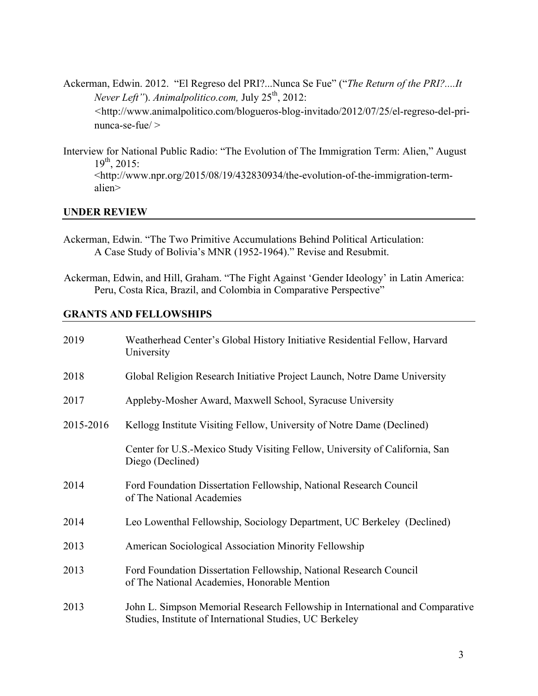- Ackerman, Edwin. 2012. "El Regreso del PRI?...Nunca Se Fue" ("*The Return of the PRI?....It Never Left"*). *Animalpolitico.com,* July 25th, 2012: nunca-se-fue/ > *<*[http://www.animalpolitico.com/blogueros-blog-invitado/2012/07/25/el-regreso-del-pri-](http://www.animalpolitico.com/blogueros-blog-invitado/2012/07/25/el-regreso-del-pri)
- $19^{th}$ , 2015: Interview for National Public Radio: "The Evolution of The Immigration Term: Alien," August 19th, 2015: [<http://www.npr.org/2015/08/19/432830934/the-evolution-of-the-immigration-term](http://www.npr.org/2015/08/19/432830934/the-evolution-of-the-immigration-term)alien>

#### **UNDER REVIEW**

- Ackerman, Edwin. "The Two Primitive Accumulations Behind Political Articulation: A Case Study of Bolivia's MNR (1952-1964)." Revise and Resubmit.
- Ackerman, Edwin, and Hill, Graham. "The Fight Against 'Gender Ideology' in Latin America: Peru, Costa Rica, Brazil, and Colombia in Comparative Perspective"

#### **GRANTS AND FELLOWSHIPS**

| 2019      | Weatherhead Center's Global History Initiative Residential Fellow, Harvard<br>University                                                  |
|-----------|-------------------------------------------------------------------------------------------------------------------------------------------|
| 2018      | Global Religion Research Initiative Project Launch, Notre Dame University                                                                 |
| 2017      | Appleby-Mosher Award, Maxwell School, Syracuse University                                                                                 |
| 2015-2016 | Kellogg Institute Visiting Fellow, University of Notre Dame (Declined)                                                                    |
|           | Center for U.S.-Mexico Study Visiting Fellow, University of California, San<br>Diego (Declined)                                           |
| 2014      | Ford Foundation Dissertation Fellowship, National Research Council<br>of The National Academies                                           |
| 2014      | Leo Lowenthal Fellowship, Sociology Department, UC Berkeley (Declined)                                                                    |
| 2013      | American Sociological Association Minority Fellowship                                                                                     |
| 2013      | Ford Foundation Dissertation Fellowship, National Research Council<br>of The National Academies, Honorable Mention                        |
| 2013      | John L. Simpson Memorial Research Fellowship in International and Comparative<br>Studies, Institute of International Studies, UC Berkeley |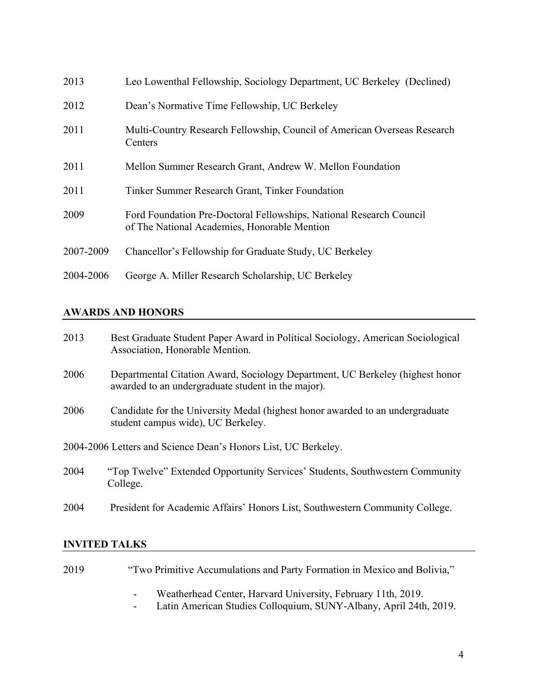| 2013      | Leo Lowenthal Fellowship, Sociology Department, UC Berkeley (Declined)                                              |
|-----------|---------------------------------------------------------------------------------------------------------------------|
| 2012      | Dean's Normative Time Fellowship, UC Berkeley                                                                       |
| 2011      | Multi-Country Research Fellowship, Council of American Overseas Research<br>Centers                                 |
| 2011      | Mellon Summer Research Grant, Andrew W. Mellon Foundation                                                           |
| 2011      | Tinker Summer Research Grant, Tinker Foundation                                                                     |
| 2009      | Ford Foundation Pre-Doctoral Fellowships, National Research Council<br>of The National Academies, Honorable Mention |
| 2007-2009 | Chancellor's Fellowship for Graduate Study, UC Berkeley                                                             |
| 2004-2006 | George A. Miller Research Scholarship, UC Berkeley                                                                  |

## **AWARDS AND HONORS**

| 2013                                                           | Best Graduate Student Paper Award in Political Sociology, American Sociological<br>Association, Honorable Mention.                  |  |
|----------------------------------------------------------------|-------------------------------------------------------------------------------------------------------------------------------------|--|
| 2006                                                           | Departmental Citation Award, Sociology Department, UC Berkeley (highest honor<br>awarded to an undergraduate student in the major). |  |
| 2006                                                           | Candidate for the University Medal (highest honor awarded to an undergraduate<br>student campus wide), UC Berkeley.                 |  |
| 2004-2006 Letters and Science Dean's Honors List, UC Berkeley. |                                                                                                                                     |  |
| 2004                                                           | "Top Twelve" Extended Opportunity Services' Students, Southwestern Community<br>College.                                            |  |
| 2004                                                           | President for Academic Affairs' Honors List, Southwestern Community College.                                                        |  |

## **INVITED TALKS**

| 2019 | "Two Primitive Accumulations and Party Formation in Mexico and Bolivia,"             |
|------|--------------------------------------------------------------------------------------|
|      | Weatherhead Center, Harvard University, February 11th, 2019.<br>$\sim$               |
|      | Latin American Studies Colloquium, SUNY-Albany, April 24th, 2019.<br>$\sim$ 10 $\pm$ |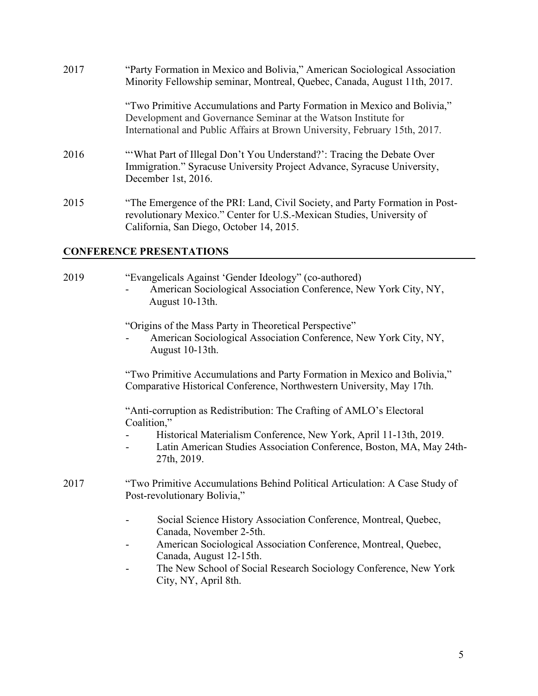| 2017 | "Party Formation in Mexico and Bolivia," American Sociological Association<br>Minority Fellowship seminar, Montreal, Quebec, Canada, August 11th, 2017.                                                                  |
|------|--------------------------------------------------------------------------------------------------------------------------------------------------------------------------------------------------------------------------|
|      | "Two Primitive Accumulations and Party Formation in Mexico and Bolivia,"<br>Development and Governance Seminar at the Watson Institute for<br>International and Public Affairs at Brown University, February 15th, 2017. |
| 2016 | "What Part of Illegal Don't You Understand?": Tracing the Debate Over<br>Immigration." Syracuse University Project Advance, Syracuse University,<br>December 1st, 2016.                                                  |
| 2015 | "The Emergence of the PRI: Land, Civil Society, and Party Formation in Post-<br>revolutionary Mexico." Center for U.S.-Mexican Studies, University of<br>California, San Diego, October 14, 2015.                        |

#### **CONFERENCE PRESENTATIONS**

2019 "Evangelicals Against 'Gender Ideology" (co-authored) - American Sociological Association Conference, New York City, NY, August 10-13th.

"Origins of the Mass Party in Theoretical Perspective"

American Sociological Association Conference, New York City, NY, August 10-13th.

"Two Primitive Accumulations and Party Formation in Mexico and Bolivia," Comparative Historical Conference, Northwestern University, May 17th.

"Anti-corruption as Redistribution: The Crafting of AMLO's Electoral Coalition,"

- Historical Materialism Conference, New York, April 11-13th, 2019.
- Latin American Studies Association Conference, Boston, MA, May 24th-27th, 2019.
- 2017 "Two Primitive Accumulations Behind Political Articulation: A Case Study of Post-revolutionary Bolivia,"
	- Social Science History Association Conference, Montreal, Quebec, Canada, November 2-5th.
	- American Sociological Association Conference, Montreal, Quebec, Canada, August 12-15th.
	- The New School of Social Research Sociology Conference, New York City, NY, April 8th.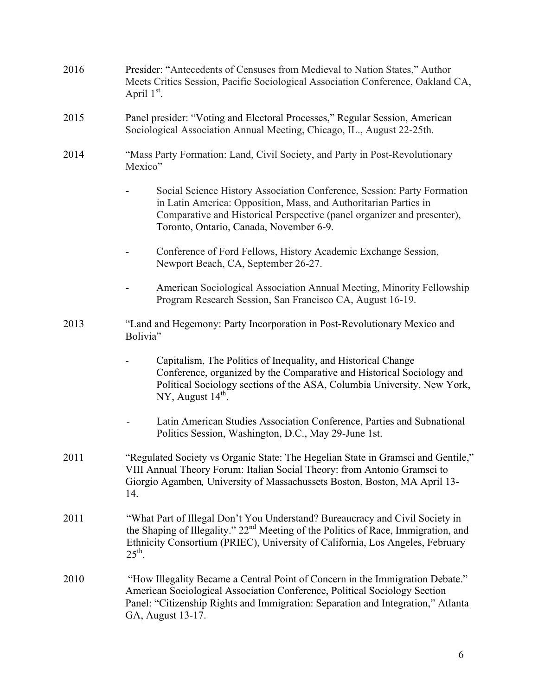| 2016 | Presider: "Antecedents of Censuses from Medieval to Nation States," Author<br>Meets Critics Session, Pacific Sociological Association Conference, Oakland CA,<br>April $1st$ .                                                                                                        |
|------|---------------------------------------------------------------------------------------------------------------------------------------------------------------------------------------------------------------------------------------------------------------------------------------|
| 2015 | Panel presider: "Voting and Electoral Processes," Regular Session, American<br>Sociological Association Annual Meeting, Chicago, IL., August 22-25th.                                                                                                                                 |
| 2014 | "Mass Party Formation: Land, Civil Society, and Party in Post-Revolutionary<br>Mexico"                                                                                                                                                                                                |
|      | Social Science History Association Conference, Session: Party Formation<br>in Latin America: Opposition, Mass, and Authoritarian Parties in<br>Comparative and Historical Perspective (panel organizer and presenter),<br>Toronto, Ontario, Canada, November 6-9.                     |
|      | Conference of Ford Fellows, History Academic Exchange Session,<br>Newport Beach, CA, September 26-27.                                                                                                                                                                                 |
|      | American Sociological Association Annual Meeting, Minority Fellowship<br>Program Research Session, San Francisco CA, August 16-19.                                                                                                                                                    |
| 2013 | "Land and Hegemony: Party Incorporation in Post-Revolutionary Mexico and<br>Bolivia"                                                                                                                                                                                                  |
|      | Capitalism, The Politics of Inequality, and Historical Change<br>Conference, organized by the Comparative and Historical Sociology and<br>Political Sociology sections of the ASA, Columbia University, New York,<br>NY, August 14 <sup>th</sup> .                                    |
|      | Latin American Studies Association Conference, Parties and Subnational<br>Politics Session, Washington, D.C., May 29-June 1st.                                                                                                                                                        |
| 2011 | "Regulated Society vs Organic State: The Hegelian State in Gramsci and Gentile,"<br>VIII Annual Theory Forum: Italian Social Theory: from Antonio Gramsci to<br>Giorgio Agamben, University of Massachussets Boston, Boston, MA April 13-<br>14.                                      |
| 2011 | "What Part of Illegal Don't You Understand? Bureaucracy and Civil Society in<br>the Shaping of Illegality." 22 <sup>nd</sup> Meeting of the Politics of Race, Immigration, and<br>Ethnicity Consortium (PRIEC), University of California, Los Angeles, February<br>$25^{\text{th}}$ . |
| 2010 | "How Illegality Became a Central Point of Concern in the Immigration Debate."<br>American Sociological Association Conference, Political Sociology Section<br>Panel: "Citizenship Rights and Immigration: Separation and Integration," Atlanta<br>GA, August 13-17.                   |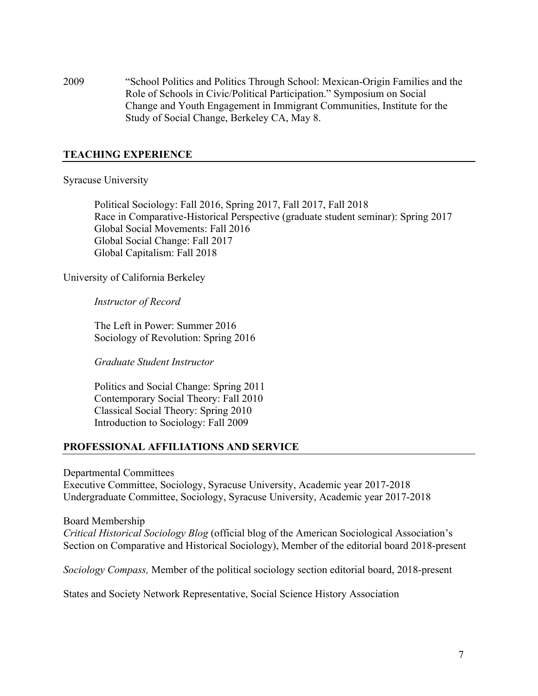2009 "School Politics and Politics Through School: Mexican-Origin Families and the Role of Schools in Civic/Political Participation." Symposium on Social Change and Youth Engagement in Immigrant Communities, Institute for the Study of Social Change, Berkeley CA, May 8.

### **TEACHING EXPERIENCE**

#### Syracuse University

 Global Social Change: Fall 2017 Political Sociology: Fall 2016, Spring 2017, Fall 2017, Fall 2018 Race in Comparative-Historical Perspective (graduate student seminar): Spring 2017 Global Social Movements: Fall 2016 Global Capitalism: Fall 2018

University of California Berkeley

 *Instructor of Record* 

The Left in Power: Summer 2016 Sociology of Revolution: Spring 2016

*Graduate Student Instructor* 

 Politics and Social Change: Spring 2011 Contemporary Social Theory: Fall 2010 Classical Social Theory: Spring 2010 Introduction to Sociology: Fall 2009

#### **PROFESSIONAL AFFILIATIONS AND SERVICE**

Departmental Committees

Executive Committee, Sociology, Syracuse University, Academic year 2017-2018 Undergraduate Committee, Sociology, Syracuse University, Academic year 2017-2018

#### Board Membership

*Critical Historical Sociology Blog* (official blog of the American Sociological Association's Section on Comparative and Historical Sociology), Member of the editorial board 2018-present

*Sociology Compass,* Member of the political sociology section editorial board, 2018-present

States and Society Network Representative, Social Science History Association